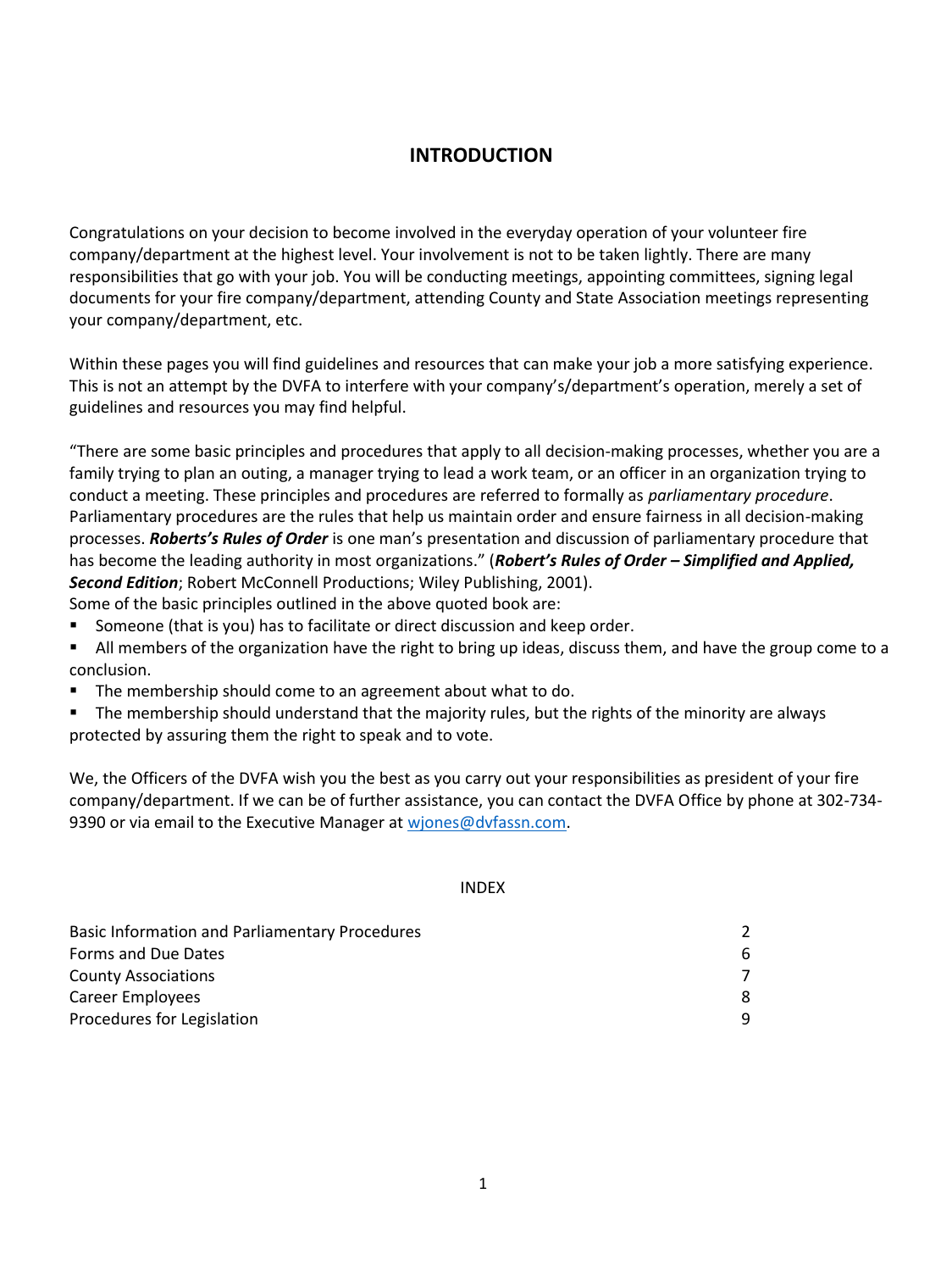# **INTRODUCTION**

Congratulations on your decision to become involved in the everyday operation of your volunteer fire company/department at the highest level. Your involvement is not to be taken lightly. There are many responsibilities that go with your job. You will be conducting meetings, appointing committees, signing legal documents for your fire company/department, attending County and State Association meetings representing your company/department, etc.

Within these pages you will find guidelines and resources that can make your job a more satisfying experience. This is not an attempt by the DVFA to interfere with your company's/department's operation, merely a set of guidelines and resources you may find helpful.

"There are some basic principles and procedures that apply to all decision-making processes, whether you are a family trying to plan an outing, a manager trying to lead a work team, or an officer in an organization trying to conduct a meeting. These principles and procedures are referred to formally as *parliamentary procedure*. Parliamentary procedures are the rules that help us maintain order and ensure fairness in all decision-making processes. *Roberts's Rules of Order* is one man's presentation and discussion of parliamentary procedure that has become the leading authority in most organizations." (*Robert's Rules of Order – Simplified and Applied, Second Edition*; Robert McConnell Productions; Wiley Publishing, 2001). Some of the basic principles outlined in the above quoted book are:

- Someone (that is you) has to facilitate or direct discussion and keep order.
- All members of the organization have the right to bring up ideas, discuss them, and have the group come to a conclusion.
- The membership should come to an agreement about what to do.
- The membership should understand that the majority rules, but the rights of the minority are always protected by assuring them the right to speak and to vote.

We, the Officers of the DVFA wish you the best as you carry out your responsibilities as president of your fire company/department. If we can be of further assistance, you can contact the DVFA Office by phone at 302-734 9390 or via email to the Executive Manager at [wjones@dvfassn.com.](mailto:wjones@dvfassn.com)

#### INDEX

| <b>Basic Information and Parliamentary Procedures</b> |    |
|-------------------------------------------------------|----|
| Forms and Due Dates                                   | 6. |
| <b>County Associations</b>                            |    |
| Career Employees                                      |    |
| Procedures for Legislation                            | q  |
|                                                       |    |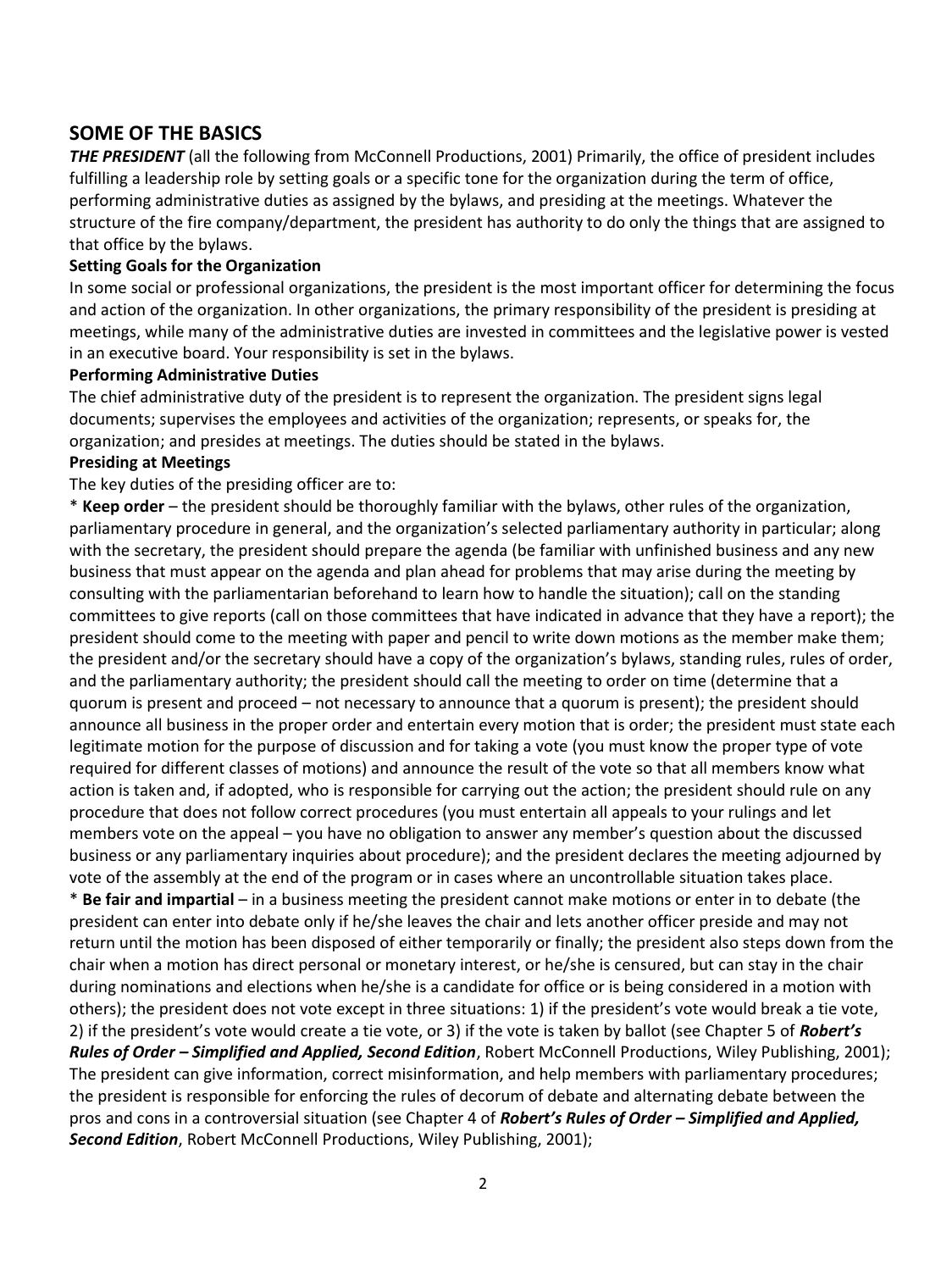# **SOME OF THE BASICS**

*THE PRESIDENT* (all the following from McConnell Productions, 2001) Primarily, the office of president includes fulfilling a leadership role by setting goals or a specific tone for the organization during the term of office, performing administrative duties as assigned by the bylaws, and presiding at the meetings. Whatever the structure of the fire company/department, the president has authority to do only the things that are assigned to that office by the bylaws.

#### **Setting Goals for the Organization**

In some social or professional organizations, the president is the most important officer for determining the focus and action of the organization. In other organizations, the primary responsibility of the president is presiding at meetings, while many of the administrative duties are invested in committees and the legislative power is vested in an executive board. Your responsibility is set in the bylaws.

#### **Performing Administrative Duties**

The chief administrative duty of the president is to represent the organization. The president signs legal documents; supervises the employees and activities of the organization; represents, or speaks for, the organization; and presides at meetings. The duties should be stated in the bylaws.

#### **Presiding at Meetings**

The key duties of the presiding officer are to:

\* **Keep order** – the president should be thoroughly familiar with the bylaws, other rules of the organization, parliamentary procedure in general, and the organization's selected parliamentary authority in particular; along with the secretary, the president should prepare the agenda (be familiar with unfinished business and any new business that must appear on the agenda and plan ahead for problems that may arise during the meeting by consulting with the parliamentarian beforehand to learn how to handle the situation); call on the standing committees to give reports (call on those committees that have indicated in advance that they have a report); the president should come to the meeting with paper and pencil to write down motions as the member make them; the president and/or the secretary should have a copy of the organization's bylaws, standing rules, rules of order, and the parliamentary authority; the president should call the meeting to order on time (determine that a quorum is present and proceed – not necessary to announce that a quorum is present); the president should announce all business in the proper order and entertain every motion that is order; the president must state each legitimate motion for the purpose of discussion and for taking a vote (you must know the proper type of vote required for different classes of motions) and announce the result of the vote so that all members know what action is taken and, if adopted, who is responsible for carrying out the action; the president should rule on any procedure that does not follow correct procedures (you must entertain all appeals to your rulings and let members vote on the appeal – you have no obligation to answer any member's question about the discussed business or any parliamentary inquiries about procedure); and the president declares the meeting adjourned by vote of the assembly at the end of the program or in cases where an uncontrollable situation takes place.

\* **Be fair and impartial** – in a business meeting the president cannot make motions or enter in to debate (the president can enter into debate only if he/she leaves the chair and lets another officer preside and may not return until the motion has been disposed of either temporarily or finally; the president also steps down from the chair when a motion has direct personal or monetary interest, or he/she is censured, but can stay in the chair during nominations and elections when he/she is a candidate for office or is being considered in a motion with others); the president does not vote except in three situations: 1) if the president's vote would break a tie vote, 2) if the president's vote would create a tie vote, or 3) if the vote is taken by ballot (see Chapter 5 of *Robert's Rules of Order – Simplified and Applied, Second Edition*, Robert McConnell Productions, Wiley Publishing, 2001); The president can give information, correct misinformation, and help members with parliamentary procedures; the president is responsible for enforcing the rules of decorum of debate and alternating debate between the pros and cons in a controversial situation (see Chapter 4 of *Robert's Rules of Order – Simplified and Applied, Second Edition*, Robert McConnell Productions, Wiley Publishing, 2001);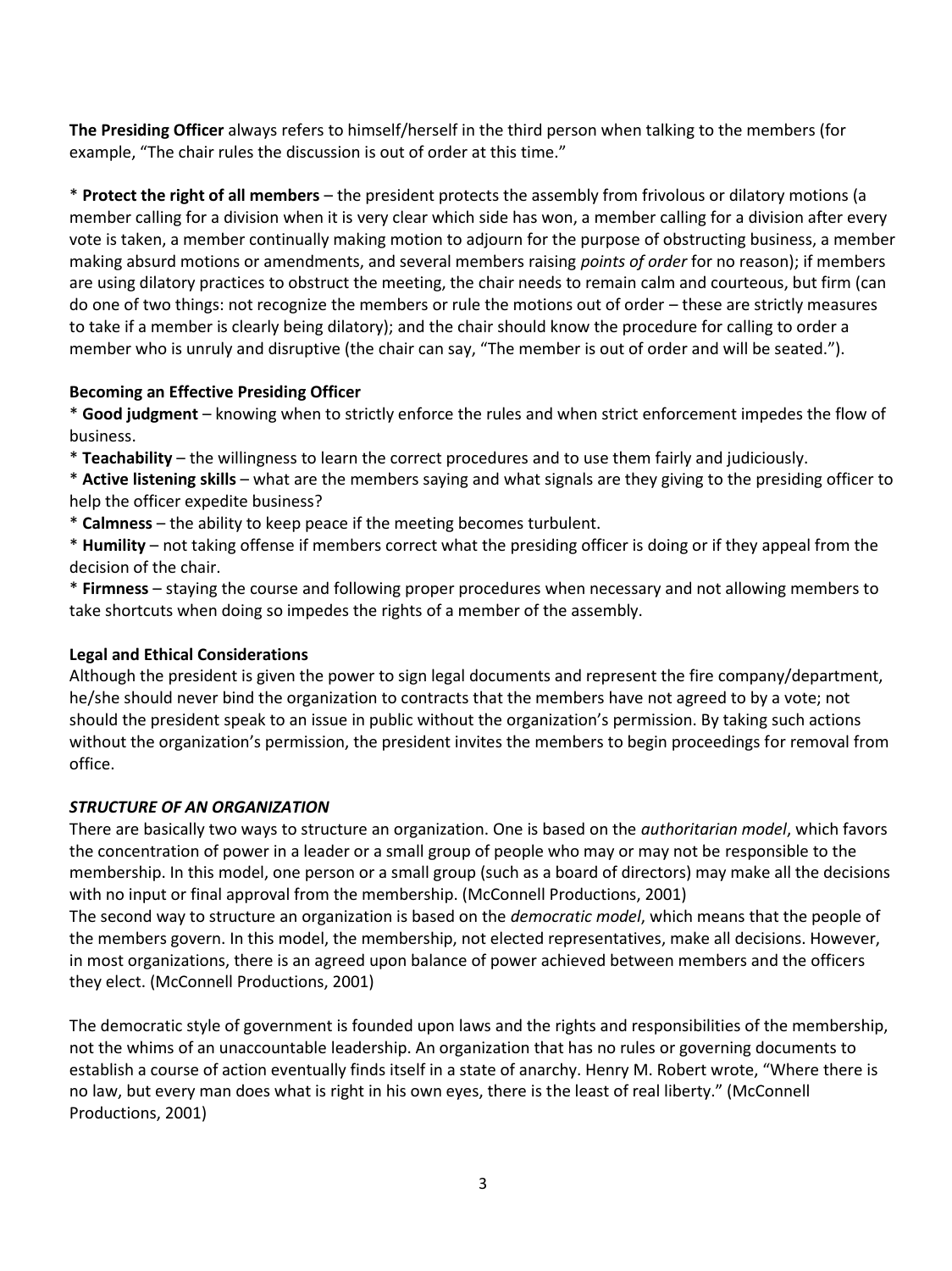**The Presiding Officer** always refers to himself/herself in the third person when talking to the members (for example, "The chair rules the discussion is out of order at this time."

\* **Protect the right of all members** – the president protects the assembly from frivolous or dilatory motions (a member calling for a division when it is very clear which side has won, a member calling for a division after every vote is taken, a member continually making motion to adjourn for the purpose of obstructing business, a member making absurd motions or amendments, and several members raising *points of order* for no reason); if members are using dilatory practices to obstruct the meeting, the chair needs to remain calm and courteous, but firm (can do one of two things: not recognize the members or rule the motions out of order – these are strictly measures to take if a member is clearly being dilatory); and the chair should know the procedure for calling to order a member who is unruly and disruptive (the chair can say, "The member is out of order and will be seated.").

### **Becoming an Effective Presiding Officer**

\* **Good judgment** – knowing when to strictly enforce the rules and when strict enforcement impedes the flow of business.

\* **Teachability** – the willingness to learn the correct procedures and to use them fairly and judiciously.

\* **Active listening skills** – what are the members saying and what signals are they giving to the presiding officer to help the officer expedite business?

\* **Calmness** – the ability to keep peace if the meeting becomes turbulent.

\* **Humility** – not taking offense if members correct what the presiding officer is doing or if they appeal from the decision of the chair.

\* **Firmness** – staying the course and following proper procedures when necessary and not allowing members to take shortcuts when doing so impedes the rights of a member of the assembly.

## **Legal and Ethical Considerations**

Although the president is given the power to sign legal documents and represent the fire company/department, he/she should never bind the organization to contracts that the members have not agreed to by a vote; not should the president speak to an issue in public without the organization's permission. By taking such actions without the organization's permission, the president invites the members to begin proceedings for removal from office.

#### *STRUCTURE OF AN ORGANIZATION*

There are basically two ways to structure an organization. One is based on the *authoritarian model*, which favors the concentration of power in a leader or a small group of people who may or may not be responsible to the membership. In this model, one person or a small group (such as a board of directors) may make all the decisions with no input or final approval from the membership. (McConnell Productions, 2001)

The second way to structure an organization is based on the *democratic model*, which means that the people of the members govern. In this model, the membership, not elected representatives, make all decisions. However, in most organizations, there is an agreed upon balance of power achieved between members and the officers they elect. (McConnell Productions, 2001)

The democratic style of government is founded upon laws and the rights and responsibilities of the membership, not the whims of an unaccountable leadership. An organization that has no rules or governing documents to establish a course of action eventually finds itself in a state of anarchy. Henry M. Robert wrote, "Where there is no law, but every man does what is right in his own eyes, there is the least of real liberty." (McConnell Productions, 2001)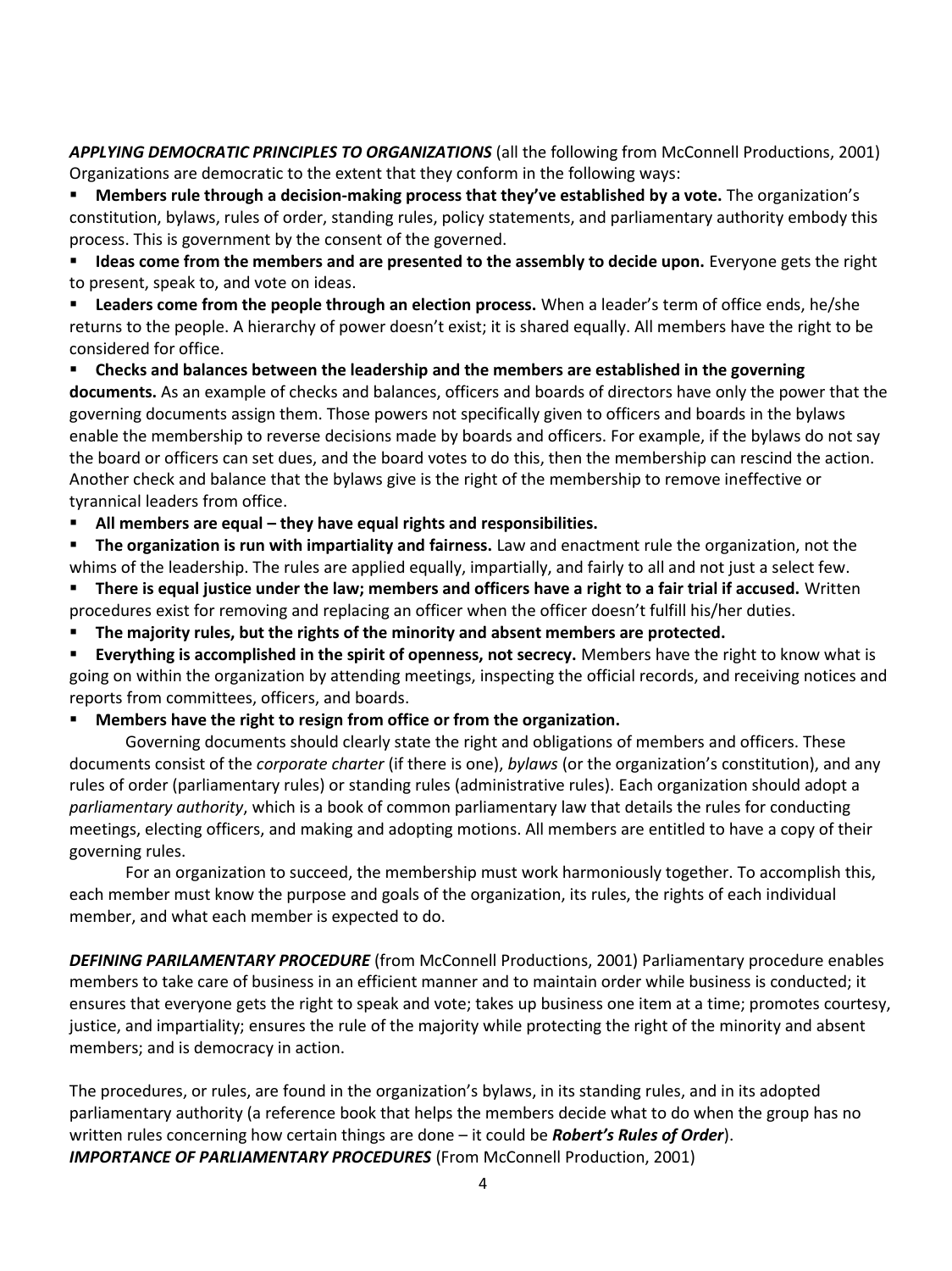*APPLYING DEMOCRATIC PRINCIPLES TO ORGANIZATIONS* (all the following from McConnell Productions, 2001) Organizations are democratic to the extent that they conform in the following ways:

 **Members rule through a decision-making process that they've established by a vote.** The organization's constitution, bylaws, rules of order, standing rules, policy statements, and parliamentary authority embody this process. This is government by the consent of the governed.

 **Ideas come from the members and are presented to the assembly to decide upon.** Everyone gets the right to present, speak to, and vote on ideas.

 **Leaders come from the people through an election process.** When a leader's term of office ends, he/she returns to the people. A hierarchy of power doesn't exist; it is shared equally. All members have the right to be considered for office.

 **Checks and balances between the leadership and the members are established in the governing documents.** As an example of checks and balances, officers and boards of directors have only the power that the governing documents assign them. Those powers not specifically given to officers and boards in the bylaws enable the membership to reverse decisions made by boards and officers. For example, if the bylaws do not say the board or officers can set dues, and the board votes to do this, then the membership can rescind the action. Another check and balance that the bylaws give is the right of the membership to remove ineffective or tyrannical leaders from office.

**All members are equal – they have equal rights and responsibilities.** 

 **The organization is run with impartiality and fairness.** Law and enactment rule the organization, not the whims of the leadership. The rules are applied equally, impartially, and fairly to all and not just a select few.

- **There is equal justice under the law; members and officers have a right to a fair trial if accused.** Written procedures exist for removing and replacing an officer when the officer doesn't fulfill his/her duties.
- **The majority rules, but the rights of the minority and absent members are protected.**

 **Everything is accomplished in the spirit of openness, not secrecy.** Members have the right to know what is going on within the organization by attending meetings, inspecting the official records, and receiving notices and reports from committees, officers, and boards.

## **Members have the right to resign from office or from the organization.**

Governing documents should clearly state the right and obligations of members and officers. These documents consist of the *corporate charter* (if there is one), *bylaws* (or the organization's constitution), and any rules of order (parliamentary rules) or standing rules (administrative rules). Each organization should adopt a *parliamentary authority*, which is a book of common parliamentary law that details the rules for conducting meetings, electing officers, and making and adopting motions. All members are entitled to have a copy of their governing rules.

For an organization to succeed, the membership must work harmoniously together. To accomplish this, each member must know the purpose and goals of the organization, its rules, the rights of each individual member, and what each member is expected to do.

*DEFINING PARILAMENTARY PROCEDURE* (from McConnell Productions, 2001) Parliamentary procedure enables members to take care of business in an efficient manner and to maintain order while business is conducted; it ensures that everyone gets the right to speak and vote; takes up business one item at a time; promotes courtesy, justice, and impartiality; ensures the rule of the majority while protecting the right of the minority and absent members; and is democracy in action.

The procedures, or rules, are found in the organization's bylaws, in its standing rules, and in its adopted parliamentary authority (a reference book that helps the members decide what to do when the group has no written rules concerning how certain things are done – it could be *Robert's Rules of Order*). *IMPORTANCE OF PARLIAMENTARY PROCEDURES* (From McConnell Production, 2001)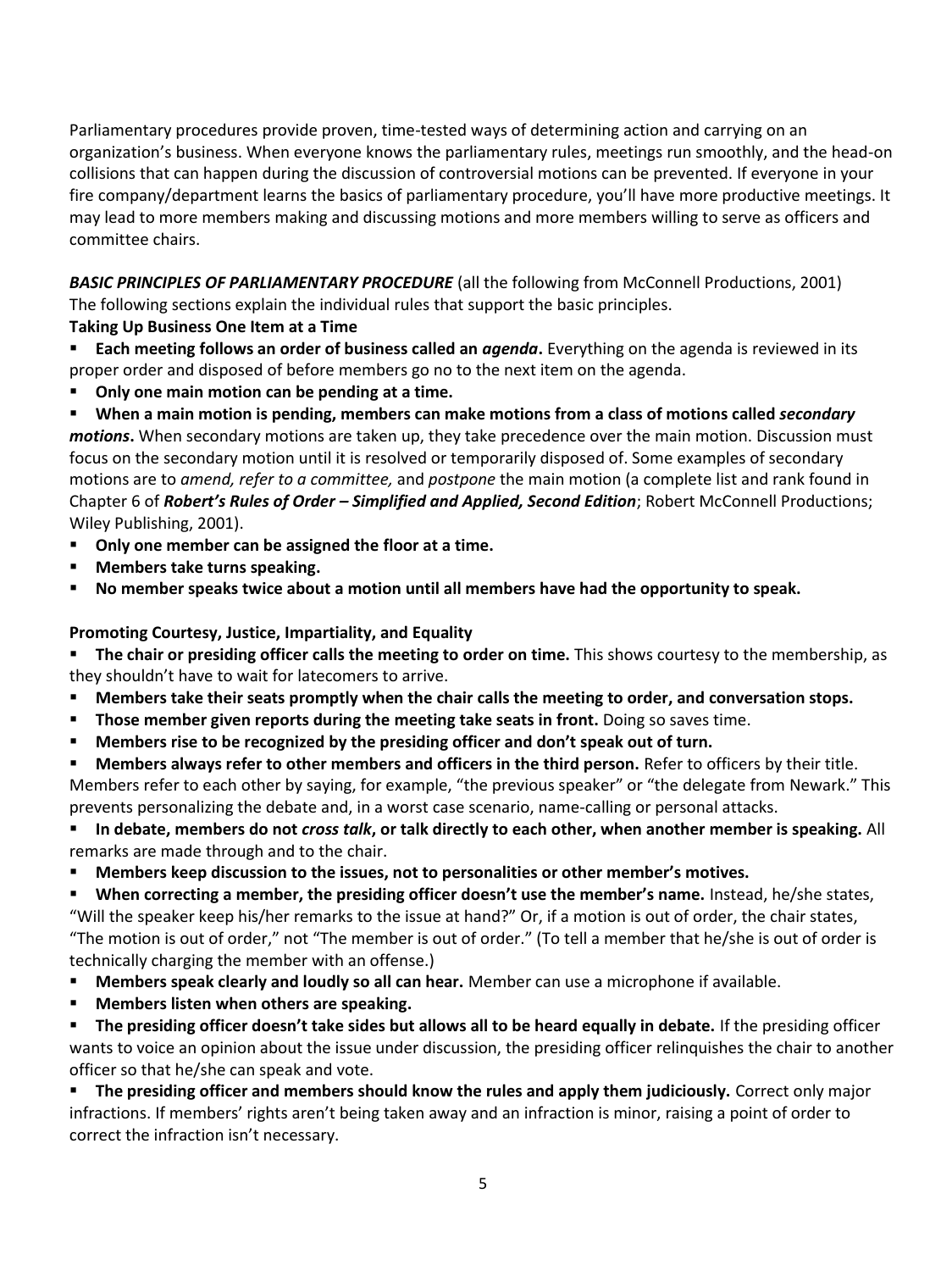Parliamentary procedures provide proven, time-tested ways of determining action and carrying on an organization's business. When everyone knows the parliamentary rules, meetings run smoothly, and the head-on collisions that can happen during the discussion of controversial motions can be prevented. If everyone in your fire company/department learns the basics of parliamentary procedure, you'll have more productive meetings. It may lead to more members making and discussing motions and more members willing to serve as officers and committee chairs.

*BASIC PRINCIPLES OF PARLIAMENTARY PROCEDURE* (all the following from McConnell Productions, 2001) The following sections explain the individual rules that support the basic principles.

## **Taking Up Business One Item at a Time**

**Each meeting follows an order of business called an** *agenda*. Everything on the agenda is reviewed in its proper order and disposed of before members go no to the next item on the agenda.

- **Only one main motion can be pending at a time.**
- **When a main motion is pending, members can make motions from a class of motions called** *secondary*

*motions***.** When secondary motions are taken up, they take precedence over the main motion. Discussion must focus on the secondary motion until it is resolved or temporarily disposed of. Some examples of secondary motions are to *amend, refer to a committee,* and *postpone* the main motion (a complete list and rank found in Chapter 6 of *Robert's Rules of Order – Simplified and Applied, Second Edition*; Robert McConnell Productions; Wiley Publishing, 2001).

- **Only one member can be assigned the floor at a time.**
- **Members take turns speaking.**
- **No member speaks twice about a motion until all members have had the opportunity to speak.**

## **Promoting Courtesy, Justice, Impartiality, and Equality**

**The chair or presiding officer calls the meeting to order on time.** This shows courtesy to the membership, as they shouldn't have to wait for latecomers to arrive.

- **Members take their seats promptly when the chair calls the meeting to order, and conversation stops.**
- **Those member given reports during the meeting take seats in front.** Doing so saves time.
- **Members rise to be recognized by the presiding officer and don't speak out of turn.**

**Members always refer to other members and officers in the third person.** Refer to officers by their title. Members refer to each other by saying, for example, "the previous speaker" or "the delegate from Newark." This prevents personalizing the debate and, in a worst case scenario, name-calling or personal attacks.

 **In debate, members do not** *cross talk***, or talk directly to each other, when another member is speaking.** All remarks are made through and to the chair.

**Members keep discussion to the issues, not to personalities or other member's motives.** 

 **When correcting a member, the presiding officer doesn't use the member's name.** Instead, he/she states, "Will the speaker keep his/her remarks to the issue at hand?" Or, if a motion is out of order, the chair states, "The motion is out of order," not "The member is out of order." (To tell a member that he/she is out of order is technically charging the member with an offense.)

- **Members speak clearly and loudly so all can hear.** Member can use a microphone if available.
- **Members listen when others are speaking.**

 **The presiding officer doesn't take sides but allows all to be heard equally in debate.** If the presiding officer wants to voice an opinion about the issue under discussion, the presiding officer relinquishes the chair to another officer so that he/she can speak and vote.

 **The presiding officer and members should know the rules and apply them judiciously.** Correct only major infractions. If members' rights aren't being taken away and an infraction is minor, raising a point of order to correct the infraction isn't necessary.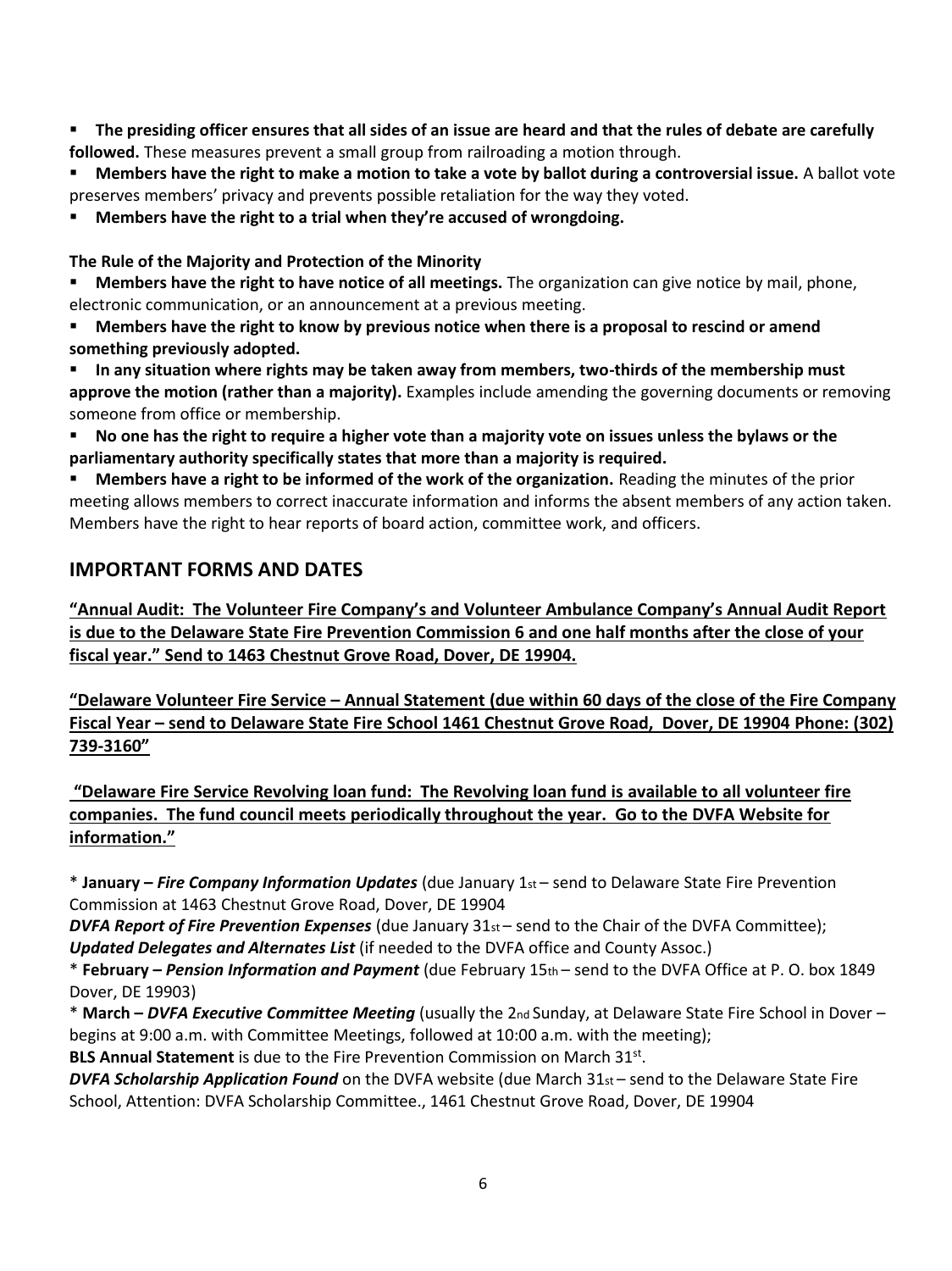**The presiding officer ensures that all sides of an issue are heard and that the rules of debate are carefully followed.** These measures prevent a small group from railroading a motion through.

 **Members have the right to make a motion to take a vote by ballot during a controversial issue.** A ballot vote preserves members' privacy and prevents possible retaliation for the way they voted.

**Members have the right to a trial when they're accused of wrongdoing.** 

**The Rule of the Majority and Protection of the Minority** 

**Members have the right to have notice of all meetings.** The organization can give notice by mail, phone, electronic communication, or an announcement at a previous meeting.

 **Members have the right to know by previous notice when there is a proposal to rescind or amend something previously adopted.** 

 **In any situation where rights may be taken away from members, two-thirds of the membership must approve the motion (rather than a majority).** Examples include amending the governing documents or removing someone from office or membership.

 **No one has the right to require a higher vote than a majority vote on issues unless the bylaws or the parliamentary authority specifically states that more than a majority is required.** 

 **Members have a right to be informed of the work of the organization.** Reading the minutes of the prior meeting allows members to correct inaccurate information and informs the absent members of any action taken. Members have the right to hear reports of board action, committee work, and officers.

# **IMPORTANT FORMS AND DATES**

**"Annual Audit: The Volunteer Fire Company's and Volunteer Ambulance Company's Annual Audit Report is due to the Delaware State Fire Prevention Commission 6 and one half months after the close of your fiscal year." Send to 1463 Chestnut Grove Road, Dover, DE 19904.**

**"Delaware Volunteer Fire Service – Annual Statement (due within 60 days of the close of the Fire Company Fiscal Year – send to Delaware State Fire School 1461 Chestnut Grove Road, Dover, DE 19904 Phone: (302) 739-3160"**

**"Delaware Fire Service Revolving loan fund: The Revolving loan fund is available to all volunteer fire companies. The fund council meets periodically throughout the year. Go to the DVFA Website for information."**

\* **January –** *Fire Company Information Updates* (due January 1st – send to Delaware State Fire Prevention Commission at 1463 Chestnut Grove Road, Dover, DE 19904

*DVFA Report of Fire Prevention Expenses* (due January 31st – send to the Chair of the DVFA Committee); *Updated Delegates and Alternates List* (if needed to the DVFA office and County Assoc.)

\* **February –** *Pension Information and Payment* (due February 15th – send to the DVFA Office at P. O. box 1849 Dover, DE 19903)

\* **March –** *DVFA Executive Committee Meeting* (usually the 2nd Sunday, at Delaware State Fire School in Dover – begins at 9:00 a.m. with Committee Meetings, followed at 10:00 a.m. with the meeting);

BLS Annual Statement is due to the Fire Prevention Commission on March 31st.

**DVFA Scholarship Application Found** on the DVFA website (due March 31<sub>st</sub> – send to the Delaware State Fire School, Attention: DVFA Scholarship Committee., 1461 Chestnut Grove Road, Dover, DE 19904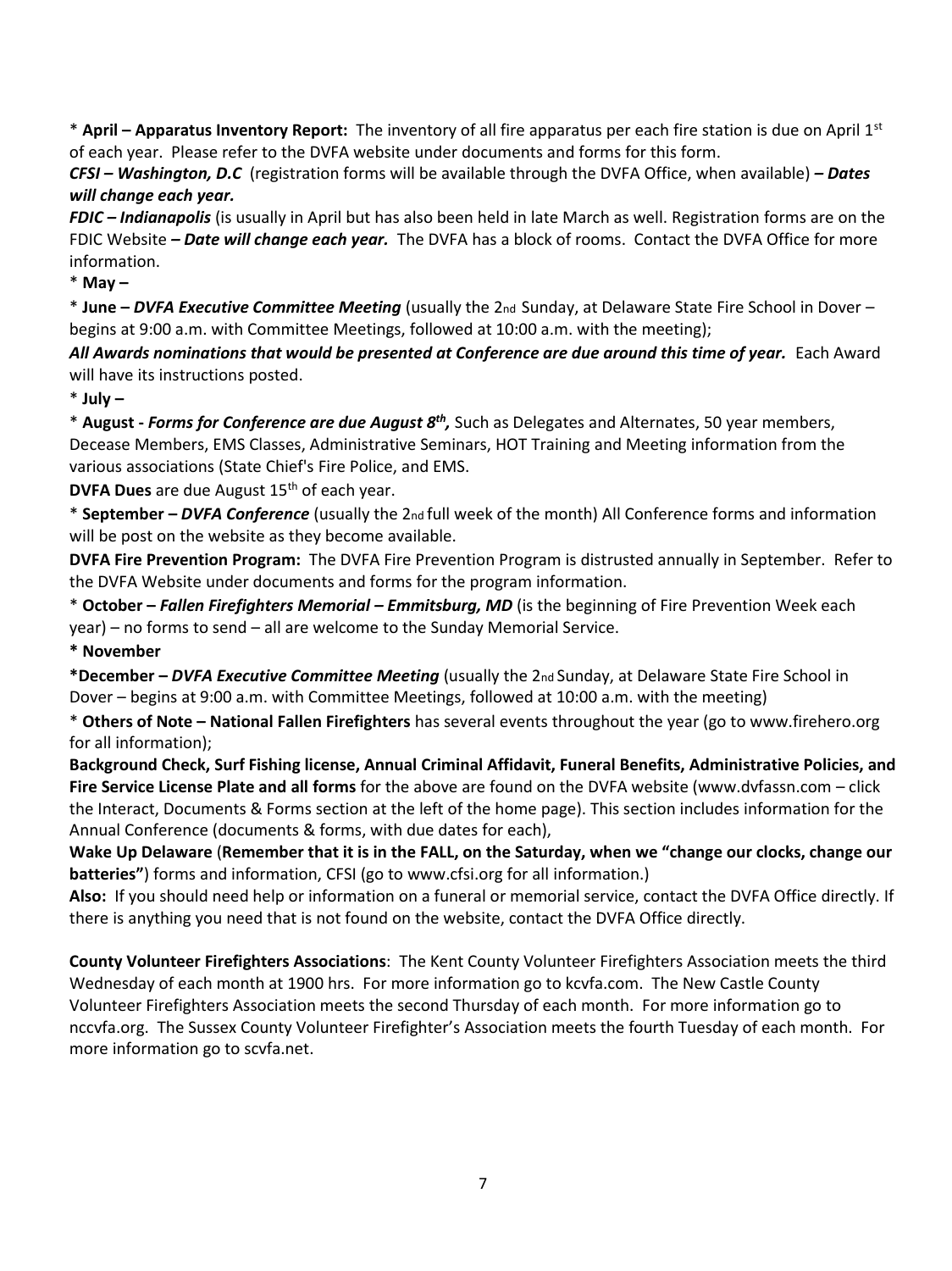\* **April – Apparatus Inventory Report:** The inventory of all fire apparatus per each fire station is due on April 1st of each year. Please refer to the DVFA website under documents and forms for this form.

*CFSI – Washington, D.C* (registration forms will be available through the DVFA Office, when available) *– Dates will change each year.*

*FDIC – Indianapolis* (is usually in April but has also been held in late March as well. Registration forms are on the FDIC Website *– Date will change each year.* The DVFA has a block of rooms. Contact the DVFA Office for more information.

\* **May –**

\* **June –** *DVFA Executive Committee Meeting* (usually the 2nd Sunday, at Delaware State Fire School in Dover – begins at 9:00 a.m. with Committee Meetings, followed at 10:00 a.m. with the meeting);

All Awards nominations that would be presented at Conference are due around this time of year. Each Award will have its instructions posted.

\* **July –**

\* August - *Forms for Conference are due August 8<sup>th</sup>,* Such as Delegates and Alternates, 50 year members, Decease Members, EMS Classes, Administrative Seminars, HOT Training and Meeting information from the various associations (State Chief's Fire Police, and EMS.

**DVFA Dues** are due August 15<sup>th</sup> of each year.

\* **September –** *DVFA Conference* (usually the 2nd full week of the month) All Conference forms and information will be post on the website as they become available.

**DVFA Fire Prevention Program:** The DVFA Fire Prevention Program is distrusted annually in September. Refer to the DVFA Website under documents and forms for the program information.

\* **October –** *Fallen Firefighters Memorial – Emmitsburg, MD* (is the beginning of Fire Prevention Week each year) – no forms to send – all are welcome to the Sunday Memorial Service.

**\* November**

**\*December –** *DVFA Executive Committee Meeting* (usually the 2nd Sunday, at Delaware State Fire School in Dover – begins at 9:00 a.m. with Committee Meetings, followed at 10:00 a.m. with the meeting)

\* **Others of Note – National Fallen Firefighters** has several events throughout the year (go to www.firehero.org for all information);

**Background Check, Surf Fishing license, Annual Criminal Affidavit, Funeral Benefits, Administrative Policies, and Fire Service License Plate and all forms** for the above are found on the DVFA website (www.dvfassn.com – click the Interact, Documents & Forms section at the left of the home page). This section includes information for the Annual Conference (documents & forms, with due dates for each),

**Wake Up Delaware** (**Remember that it is in the FALL, on the Saturday, when we "change our clocks, change our batteries"**) forms and information, CFSI (go to www.cfsi.org for all information.)

**Also:** If you should need help or information on a funeral or memorial service, contact the DVFA Office directly. If there is anything you need that is not found on the website, contact the DVFA Office directly.

**County Volunteer Firefighters Associations**: The Kent County Volunteer Firefighters Association meets the third Wednesday of each month at 1900 hrs. For more information go to kcvfa.com. The New Castle County Volunteer Firefighters Association meets the second Thursday of each month. For more information go to nccvfa.org. The Sussex County Volunteer Firefighter's Association meets the fourth Tuesday of each month. For more information go to scvfa.net.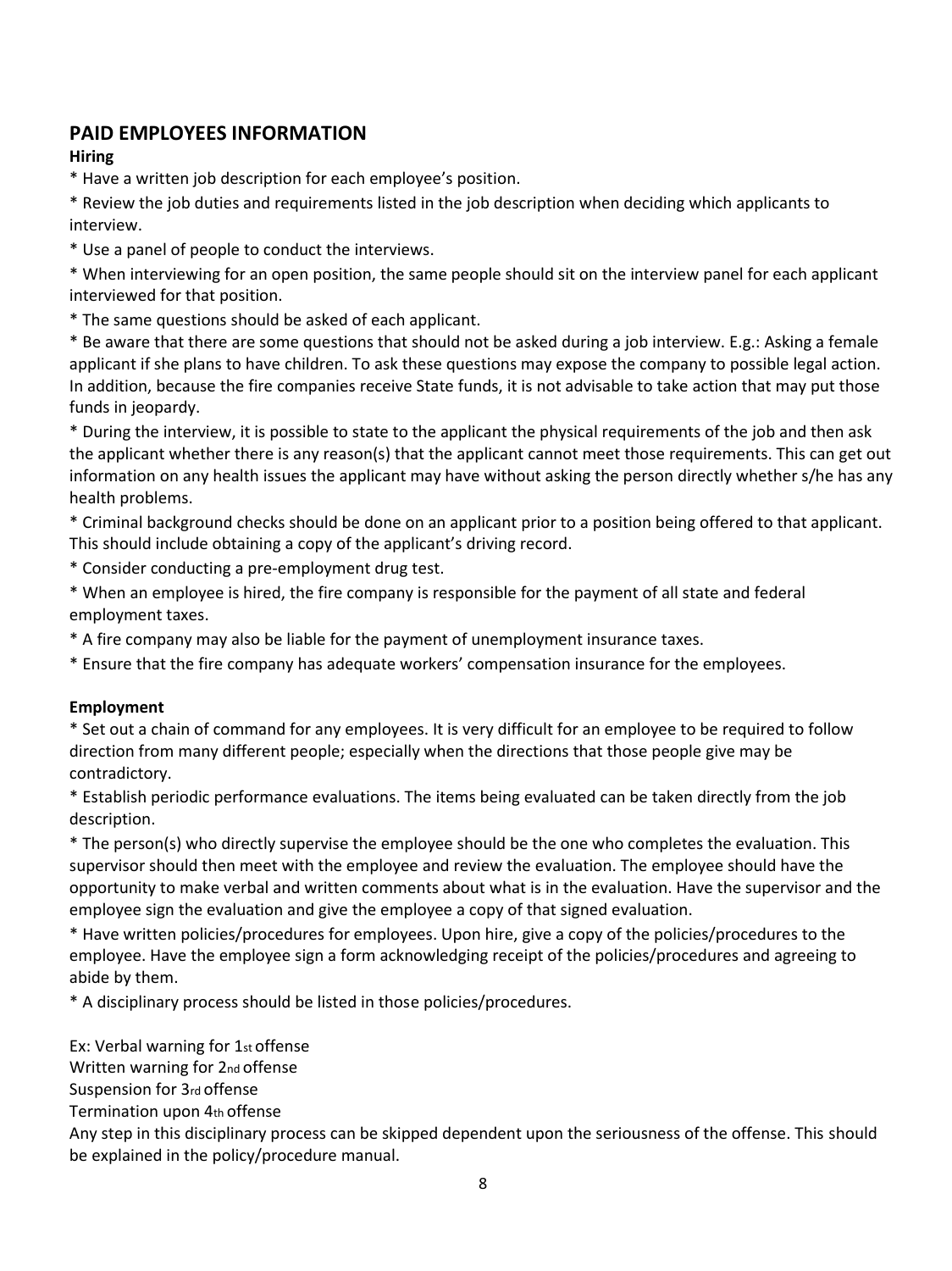# **PAID EMPLOYEES INFORMATION**

## **Hiring**

\* Have a written job description for each employee's position.

\* Review the job duties and requirements listed in the job description when deciding which applicants to interview.

\* Use a panel of people to conduct the interviews.

\* When interviewing for an open position, the same people should sit on the interview panel for each applicant interviewed for that position.

\* The same questions should be asked of each applicant.

\* Be aware that there are some questions that should not be asked during a job interview. E.g.: Asking a female applicant if she plans to have children. To ask these questions may expose the company to possible legal action. In addition, because the fire companies receive State funds, it is not advisable to take action that may put those funds in jeopardy.

\* During the interview, it is possible to state to the applicant the physical requirements of the job and then ask the applicant whether there is any reason(s) that the applicant cannot meet those requirements. This can get out information on any health issues the applicant may have without asking the person directly whether s/he has any health problems.

\* Criminal background checks should be done on an applicant prior to a position being offered to that applicant. This should include obtaining a copy of the applicant's driving record.

\* Consider conducting a pre-employment drug test.

\* When an employee is hired, the fire company is responsible for the payment of all state and federal employment taxes.

\* A fire company may also be liable for the payment of unemployment insurance taxes.

\* Ensure that the fire company has adequate workers' compensation insurance for the employees.

## **Employment**

\* Set out a chain of command for any employees. It is very difficult for an employee to be required to follow direction from many different people; especially when the directions that those people give may be contradictory.

\* Establish periodic performance evaluations. The items being evaluated can be taken directly from the job description.

\* The person(s) who directly supervise the employee should be the one who completes the evaluation. This supervisor should then meet with the employee and review the evaluation. The employee should have the opportunity to make verbal and written comments about what is in the evaluation. Have the supervisor and the employee sign the evaluation and give the employee a copy of that signed evaluation.

\* Have written policies/procedures for employees. Upon hire, give a copy of the policies/procedures to the employee. Have the employee sign a form acknowledging receipt of the policies/procedures and agreeing to abide by them.

\* A disciplinary process should be listed in those policies/procedures.

Ex: Verbal warning for 1st offense

Written warning for 2nd offense

Suspension for 3rd offense

Termination upon 4th offense

Any step in this disciplinary process can be skipped dependent upon the seriousness of the offense. This should be explained in the policy/procedure manual.